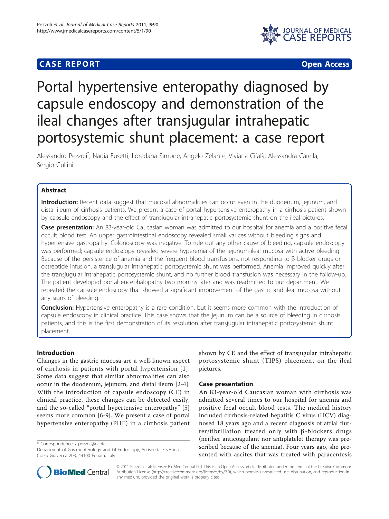## **CASE REPORT CASE REPORT CASE REPORT**



# Portal hypertensive enteropathy diagnosed by capsule endoscopy and demonstration of the ileal changes after transjugular intrahepatic portosystemic shunt placement: a case report

Alessandro Pezzoli\* , Nadia Fusetti, Loredana Simone, Angelo Zelante, Viviana Cifalà, Alessandra Carella, Sergio Gullini

## Abstract

Introduction: Recent data suggest that mucosal abnormalities can occur even in the duodenum, jejunum, and distal ileum of cirrhosis patients. We present a case of portal hypertensive enteropathy in a cirrhosis patient shown by capsule endoscopy and the effect of transjugular intrahepatic portosystemic shunt on the ileal pictures.

Case presentation: An 83-year-old Caucasian woman was admitted to our hospital for anemia and a positive fecal occult blood test. An upper gastrointestinal endoscopy revealed small varices without bleeding signs and hypertensive gastropathy. Colonoscopy was negative. To rule out any other cause of bleeding, capsule endoscopy was performed; capsule endoscopy revealed severe hyperemia of the jejunum-ileal mucosa with active bleeding. Because of the persistence of anemia and the frequent blood transfusions, not responding to  $\beta$ -blocker drugs or octreotide infusion, a transjugular intrahepatic portosystemic shunt was performed. Anemia improved quickly after the transjugular intrahepatic portosystemic shunt, and no further blood transfusion was necessary in the follow-up. The patient developed portal encephalopathy two months later and was readmitted to our department. We repeated the capsule endoscopy that showed a significant improvement of the gastric and ileal mucosa without any signs of bleeding.

**Conclusion:** Hypertensive enteropathy is a rare condition, but it seems more common with the introduction of capsule endoscopy in clinical practice. This case shows that the jejunum can be a source of bleeding in cirrhosis patients, and this is the first demonstration of its resolution after transjugular intrahepatic portosystemic shunt placement.

## Introduction

Changes in the gastric mucosa are a well-known aspect of cirrhosis in patients with portal hypertension [[1\]](#page-3-0). Some data suggest that similar abnormalities can also occur in the duodenum, jejunum, and distal ileum [[2-4](#page-3-0)]. With the introduction of capsule endoscopy (CE) in clinical practice, these changes can be detected easily, and the so-called "portal hypertensive enteropathy" [\[5](#page-3-0)] seems more common [[6-9](#page-3-0)]. We present a case of portal hypertensive enteropathy (PHE) in a cirrhosis patient

\* Correspondence: [a.pezzoli@ospfe.it](mailto:a.pezzoli@ospfe.it)

Department of Gastroenterology and GI Endoscopy, Arcispedale S.Anna, Corso Giovecca 203, 44100 Ferrara, Italy

shown by CE and the effect of transjugular intrahepatic portosystemic shunt (TIPS) placement on the ileal pictures.

## Case presentation

An 83-year-old Caucasian woman with cirrhosis was admitted several times to our hospital for anemia and positive fecal occult blood tests. The medical history included cirrhosis-related hepatitis C virus (HCV) diagnosed 18 years ago and a recent diagnosis of atrial flut $ter/fibrillation$  treated only with  $\beta$ -blockers drugs (neither anticoagulant nor antiplatelet therapy was prescribed because of the anemia). Four years ago, she presented with ascites that was treated with paracentesis



© 2011 Pezzoli et al; licensee BioMed Central Ltd. This is an Open Access article distributed under the terms of the Creative Commons Attribution License [\(http://creativecommons.org/licenses/by/2.0](http://creativecommons.org/licenses/by/2.0)), which permits unrestricted use, distribution, and reproduction in any medium, provided the original work is properly cited.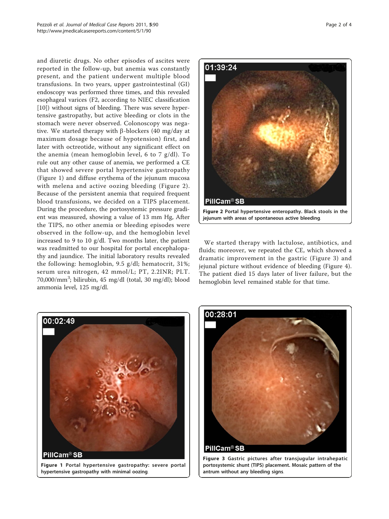and diuretic drugs. No other episodes of ascites were reported in the follow-up, but anemia was constantly present, and the patient underwent multiple blood transfusions. In two years, upper gastrointestinal (GI) endoscopy was performed three times, and this revealed esophageal varices (F2, according to NIEC classification [[10\]](#page-3-0)) without signs of bleeding. There was severe hypertensive gastropathy, but active bleeding or clots in the stomach were never observed. Colonoscopy was negative. We started therapy with  $\beta$ -blockers (40 mg/day at maximum dosage because of hypotension) first, and later with octreotide, without any significant effect on the anemia (mean hemoglobin level, 6 to 7 g/dl). To rule out any other cause of anemia, we performed a CE that showed severe portal hypertensive gastropathy (Figure 1) and diffuse erythema of the jejunum mucosa with melena and active oozing bleeding (Figure 2). Because of the persistent anemia that required frequent blood transfusions, we decided on a TIPS placement. During the procedure, the portosystemic pressure gradient was measured, showing a value of 13 mm Hg, After the TIPS, no other anemia or bleeding episodes were observed in the follow-up, and the hemoglobin level increased to 9 to 10 g/dl. Two months later, the patient was readmitted to our hospital for portal encephalopathy and jaundice. The initial laboratory results revealed the following: hemoglobin, 9.5 g/dl; hematocrit, 31%; serum urea nitrogen, 42 mmol/L; PT, 2.2INR; PLT. 70,000/mm<sup>3</sup>; bilirubin, 45 mg/dl (total, 30 mg/dl); blood ammonia level, 125 mg/dl.



We started therapy with lactulose, antibiotics, and fluids; moreover, we repeated the CE, which showed a dramatic improvement in the gastric (Figure 3) and jejunal picture without evidence of bleeding (Figure [4](#page-2-0)). The patient died 15 days later of liver failure, but the hemoglobin level remained stable for that time.



Figure 1 Portal hypertensive gastropathy: severe portal hypertensive gastropathy with minimal oozing.



Figure 3 Gastric pictures after transjugular intrahepatic portosystemic shunt (TIPS) placement. Mosaic pattern of the antrum without any bleeding signs.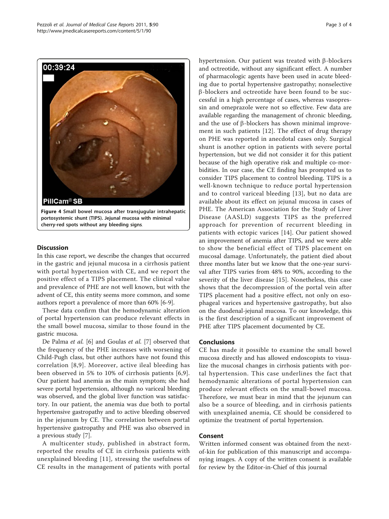<span id="page-2-0"></span>

portosystemic shunt (TIPS). Jejunal mucosa with minimal cherry-red spots without any bleeding signs.

## **Discussion**

In this case report, we describe the changes that occurred in the gastric and jejunal mucosa in a cirrhosis patient with portal hypertension with CE, and we report the positive effect of a TIPS placement. The clinical value and prevalence of PHE are not well known, but with the advent of CE, this entity seems more common, and some authors report a prevalence of more than 60% [[6-9](#page-3-0)].

These data confirm that the hemodynamic alteration of portal hypertension can produce relevant effects in the small bowel mucosa, similar to those found in the gastric mucosa.

De Palma et al. [\[6\]](#page-3-0) and Goulas et al. [[7\]](#page-3-0) observed that the frequency of the PHE increases with worsening of Child-Pugh class, but other authors have not found this correlation [\[8,9](#page-3-0)]. Moreover, active ileal bleeding has been observed in 5% to 10% of cirrhosis patients [[6,9](#page-3-0)]. Our patient had anemia as the main symptom; she had severe portal hypertension, although no variceal bleeding was observed, and the global liver function was satisfactory. In our patient, the anemia was due both to portal hypertensive gastropathy and to active bleeding observed in the jejunum by CE. The correlation between portal hypertensive gastropathy and PHE was also observed in a previous study [\[7](#page-3-0)].

A multicenter study, published in abstract form, reported the results of CE in cirrhosis patients with unexplained bleeding [[11\]](#page-3-0), stressing the usefulness of CE results in the management of patients with portal hypertension. Our patient was treated with  $\beta$ -blockers and octreotide, without any significant effect. A number of pharmacologic agents have been used in acute bleeding due to portal hypertensive gastropathy; nonselective  $\beta$ -blockers and octreotide have been found to be successful in a high percentage of cases, whereas vasopressin and omeprazole were not so effective. Few data are available regarding the management of chronic bleeding, and the use of  $\beta$ -blockers has shown minimal improvement in such patients [\[12\]](#page-3-0). The effect of drug therapy on PHE was reported in anecdotal cases only. Surgical shunt is another option in patients with severe portal hypertension, but we did not consider it for this patient because of the high operative risk and multiple co-morbidities. In our case, the CE finding has prompted us to consider TIPS placement to control bleeding. TIPS is a well-known technique to reduce portal hypertension and to control variceal bleeding [\[13\]](#page-3-0), but no data are available about its effect on jejunal mucosa in cases of PHE. The American Association for the Study of Liver Disease (AASLD) suggests TIPS as the preferred approach for prevention of recurrent bleeding in patients with ectopic varices [[14](#page-3-0)]. Our patient showed an improvement of anemia after TIPS, and we were able to show the beneficial effect of TIPS placement on mucosal damage. Unfortunately, the patient died about three months later but we know that the one-year survival after TIPS varies from 48% to 90%, according to the severity of the liver disease [\[15](#page-3-0)]. Nonetheless, this case shows that the decompression of the portal vein after TIPS placement had a positive effect, not only on esophageal varices and hypertensive gastropathy, but also on the duodenal-jejunal mucosa. To our knowledge, this is the first description of a significant improvement of PHE after TIPS placement documented by CE.

#### Conclusions

CE has made it possible to examine the small bowel mucosa directly and has allowed endoscopists to visualize the mucosal changes in cirrhosis patients with portal hypertension. This case underlines the fact that hemodynamic alterations of portal hypertension can produce relevant effects on the small-bowel mucosa. Therefore, we must bear in mind that the jejunum can also be a source of bleeding, and in cirrhosis patients with unexplained anemia, CE should be considered to optimize the treatment of portal hypertension.

### Consent

Written informed consent was obtained from the nextof-kin for publication of this manuscript and accompanying images. A copy of the written consent is available for review by the Editor-in-Chief of this journal